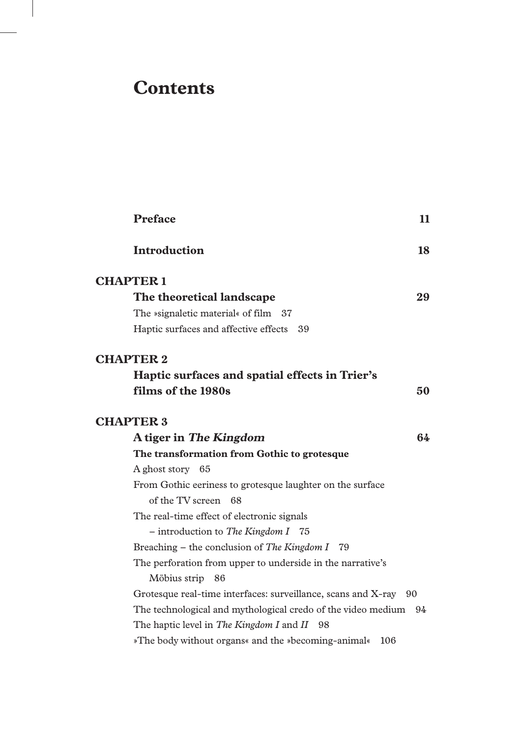# **Contents**

 $\overline{\phantom{a}}$ 

| <b>Preface</b>                                                   | 11 |
|------------------------------------------------------------------|----|
| <b>Introduction</b>                                              | 18 |
| <b>CHAPTER 1</b>                                                 |    |
| The theoretical landscape                                        | 29 |
| The »signaletic material« of film 37                             |    |
| Haptic surfaces and affective effects 39                         |    |
| <b>CHAPTER 2</b>                                                 |    |
| Haptic surfaces and spatial effects in Trier's                   |    |
| films of the 1980s                                               | 50 |
| <b>CHAPTER 3</b>                                                 |    |
| A tiger in The Kingdom                                           | 64 |
| The transformation from Gothic to grotesque                      |    |
| A ghost story 65                                                 |    |
| From Gothic eeriness to grotesque laughter on the surface        |    |
| of the TV screen 68                                              |    |
| The real-time effect of electronic signals                       |    |
| - introduction to The Kingdom I 75                               |    |
| Breaching – the conclusion of The Kingdom I $79$                 |    |
| The perforation from upper to underside in the narrative's       |    |
| Möbius strip 86                                                  |    |
| Grotesque real-time interfaces: surveillance, scans and X-ray 90 |    |
| The technological and mythological credo of the video medium 94  |    |
| The haptic level in The Kingdom I and II 98                      |    |
| »The body without organs« and the »becoming-animal«<br>106       |    |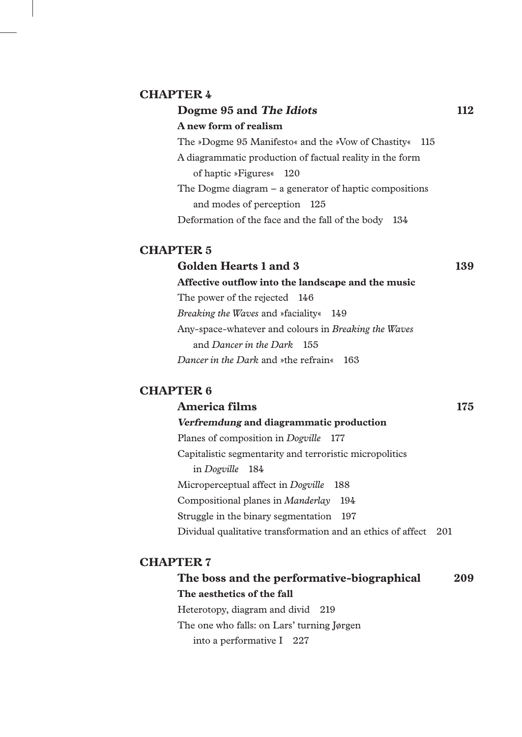#### **CHAPTER 4**

# **Dogme 95 and The Idiots** 112 **A new form of realism** The »Dogme 95 Manifesto« and the »Vow of Chastity« 115 A diagrammatic production of factual reality in the form of haptic »Figures« 120 The Dogme diagram – a generator of haptic compositions and modes of perception 125 Deformation of the face and the fall of the body 134

### **CHAPTER 5**

# **Golden Hearts 1 and 3 139 Affective outflow into the landscape and the music** The power of the rejected 146 *Breaking the Waves* and »faciality« 149 Any-space-whatever and colours in *Breaking the Waves* and *Dancer in the Dark* 155 *Dancer in the Dark* and »the refrain« 163

### **CHAPTER 6**

## America films 175 **Verfremdung and diagrammatic production**

Planes of composition in *Dogville* 177 Capitalistic segmentarity and terroristic micropolitics in *Dogville* 184 Microperceptual affect in *Dogville* 188 Compositional planes in *Manderlay* 194 Struggle in the binary segmentation 197 Dividual qualitative transformation and an ethics of affect 201

#### **CHAPTER 7**

**The boss and the performative-biographical 209 The aesthetics of the fall** Heterotopy, diagram and divid 219 The one who falls: on Lars' turning Jørgen into a performative I 227